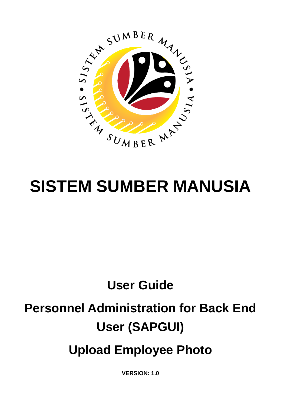

# **SISTEM SUMBER MANUSIA**

# **User Guide Personnel Administration for Back End User (SAPGUI) Upload Employee Photo**

**VERSION: 1.0**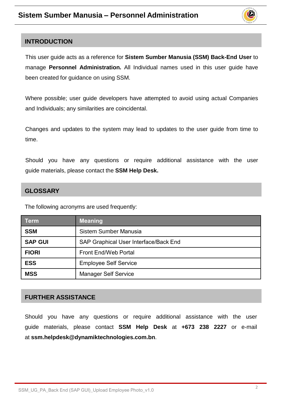

#### <span id="page-1-0"></span>**INTRODUCTION**

This user guide acts as a reference for **Sistem Sumber Manusia (SSM) Back-End User** to manage **Personnel Administration.** All Individual names used in this user guide have been created for guidance on using SSM.

Where possible; user guide developers have attempted to avoid using actual Companies and Individuals; any similarities are coincidental.

Changes and updates to the system may lead to updates to the user guide from time to time.

Should you have any questions or require additional assistance with the user guide materials, please contact the **SSM Help Desk.**

#### **GLOSSARY**

The following acronyms are used frequently:

| <b>Term</b>    | <b>Meaning</b>                        |  |
|----------------|---------------------------------------|--|
| <b>SSM</b>     | Sistem Sumber Manusia                 |  |
| <b>SAP GUI</b> | SAP Graphical User Interface/Back End |  |
| <b>FIORI</b>   | <b>Front End/Web Portal</b>           |  |
| <b>ESS</b>     | <b>Employee Self Service</b>          |  |
| <b>MSS</b>     | <b>Manager Self Service</b>           |  |

#### **FURTHER ASSISTANCE**

Should you have any questions or require additional assistance with the user guide materials, please contact **SSM Help Desk** at **+673 238 2227** or e-mail at **ssm.helpdesk@dynamiktechnologies.com.bn**.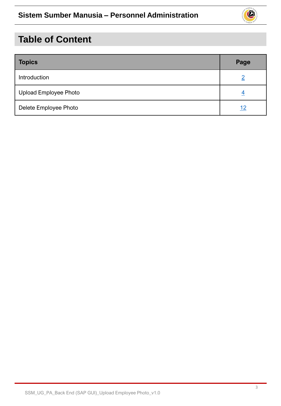

## **Table of Content**

| <b>Topics</b>         | Page       |
|-----------------------|------------|
| Introduction          |            |
| Upload Employee Photo |            |
| Delete Employee Photo | <u> 12</u> |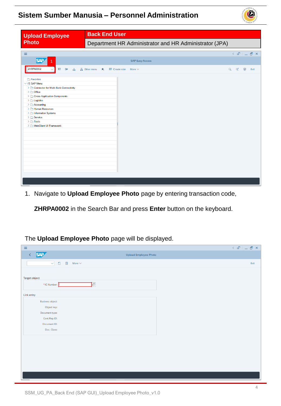

<span id="page-3-0"></span>

| <b>Upload Employee</b>                                                                                                                                                                                                                                                                                             | <b>Back End User</b>                                   |                                             |
|--------------------------------------------------------------------------------------------------------------------------------------------------------------------------------------------------------------------------------------------------------------------------------------------------------------------|--------------------------------------------------------|---------------------------------------------|
| <b>Photo</b>                                                                                                                                                                                                                                                                                                       | Department HR Administrator and HR Administrator (JPA) |                                             |
| $\equiv$                                                                                                                                                                                                                                                                                                           |                                                        | $\leq$ $\mathbf{E}$ $=$ $\mathbf{E}$ $\geq$ |
| <b>SAP</b>                                                                                                                                                                                                                                                                                                         | <b>SAP Easy Access</b>                                 |                                             |
| ZHRPA0002<br>国<br>$\blacksquare$<br>폴 A Other menu                                                                                                                                                                                                                                                                 | Create role<br>Q d 骨<br>$\star$<br>More $\vee$         | Exit                                        |
| Favorites<br>$\vee$ $\Box$ SAP Menu<br>> Connector for Multi-Bank Connectivity<br>$\geq$ $\Box$ Office<br>> Cross-Application Components<br>$\geq$ $\Box$ Logistics<br>$\geq$ $\Box$ Accounting<br>> Human Resources<br>> Information Systems<br>$\sum$ Service<br>$\geq$ $\Box$ Tools<br>> MebClient UI Framework |                                                        |                                             |

1. Navigate to **Upload Employee Photo** page by entering transaction code,

**ZHRPA0002** in the Search Bar and press **Enter** button on the keyboard.

#### The **Upload Employee Photo** page will be displayed.

| $\equiv$                                                              |                       | $\langle \begin{array}{c c} \circ \mathbb{S}^1 & \circ \end{array} \rangle = \begin{array}{c c} \circ \mathbb{S}^1 & \circ \end{array}$ |
|-----------------------------------------------------------------------|-----------------------|-----------------------------------------------------------------------------------------------------------------------------------------|
| <b>SAP</b><br>$\langle$                                               | Upload Employee Photo |                                                                                                                                         |
| $\Box$<br>$\overline{\overline{\mathbb{W}}}$<br>$\vee$<br>More $\vee$ |                       | Exit                                                                                                                                    |
| Target object<br>Ţc<br>*IC Number:                                    |                       |                                                                                                                                         |
| Link entry                                                            |                       |                                                                                                                                         |
| <b>Business object:</b>                                               |                       |                                                                                                                                         |
| Object key:                                                           |                       |                                                                                                                                         |
| Document type:                                                        |                       |                                                                                                                                         |
| Cont.Rep.ID:                                                          |                       |                                                                                                                                         |
| Document ID:                                                          |                       |                                                                                                                                         |
| Doc. Class:                                                           |                       |                                                                                                                                         |
|                                                                       |                       |                                                                                                                                         |
|                                                                       |                       |                                                                                                                                         |
|                                                                       |                       |                                                                                                                                         |
|                                                                       |                       |                                                                                                                                         |
|                                                                       |                       |                                                                                                                                         |
|                                                                       |                       |                                                                                                                                         |
|                                                                       |                       |                                                                                                                                         |
|                                                                       |                       |                                                                                                                                         |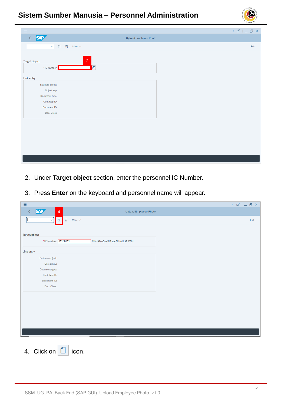| $\equiv$                                                              | $\langle \begin{array}{c c} \circ \\ \circ \\ \circ \end{array} \rangle = \begin{array}{c c} \circ \\ \circ \\ \circ \end{array} \begin{array}{c} \circ \\ \circ \\ \circ \end{array} \begin{array}{c} \circ \\ \circ \\ \circ \end{array}$ |
|-----------------------------------------------------------------------|---------------------------------------------------------------------------------------------------------------------------------------------------------------------------------------------------------------------------------------------|
| <b>SAP</b><br>$\left\langle \right\rangle$                            | <b>Upload Employee Photo</b>                                                                                                                                                                                                                |
| $\overline{\overline{\mathbb{W}}}$<br>$\Box$<br>$\vee$<br>More $\vee$ | Exit                                                                                                                                                                                                                                        |
|                                                                       |                                                                                                                                                                                                                                             |
| $\overline{2}$<br>Target object                                       |                                                                                                                                                                                                                                             |
| *IC Number:                                                           | e                                                                                                                                                                                                                                           |
|                                                                       |                                                                                                                                                                                                                                             |
| Link entry                                                            |                                                                                                                                                                                                                                             |
| <b>Business object:</b>                                               |                                                                                                                                                                                                                                             |
| Object key:                                                           |                                                                                                                                                                                                                                             |
| Document type:                                                        |                                                                                                                                                                                                                                             |
| Cont.Rep.ID:                                                          |                                                                                                                                                                                                                                             |
| Document ID:                                                          |                                                                                                                                                                                                                                             |
| Doc. Class:                                                           |                                                                                                                                                                                                                                             |
|                                                                       |                                                                                                                                                                                                                                             |
|                                                                       |                                                                                                                                                                                                                                             |
|                                                                       |                                                                                                                                                                                                                                             |
|                                                                       |                                                                                                                                                                                                                                             |
|                                                                       |                                                                                                                                                                                                                                             |
|                                                                       |                                                                                                                                                                                                                                             |
|                                                                       |                                                                                                                                                                                                                                             |
|                                                                       |                                                                                                                                                                                                                                             |
|                                                                       |                                                                                                                                                                                                                                             |

- 2. Under **Target object** section, enter the personnel IC Number.
- 3. Press **Enter** on the keyboard and personnel name will appear.

| $\equiv$                                                          | $\langle$ $\oplus$ $ $ $\_$ $\oplus$ $\times$ |
|-------------------------------------------------------------------|-----------------------------------------------|
| <b>SAP</b><br>$\overline{4}$<br><b>Upload Employee Photo</b><br>Č |                                               |
| 0 回<br>More $\vee$<br>$\ddot{\mathbf{v}}$                         | Exit                                          |
|                                                                   |                                               |
| <b>Target object</b>                                              |                                               |
| *IC Number: 01100311<br>MOHAMAD AMIR WAFI HAJI ARIFFIN            |                                               |
| Link entry                                                        |                                               |
| <b>Business object:</b>                                           |                                               |
| Object key:                                                       |                                               |
| Document type:                                                    |                                               |
| Cont.Rep.ID:                                                      |                                               |
| Document ID:                                                      |                                               |
| Doc. Class:                                                       |                                               |
|                                                                   |                                               |
|                                                                   |                                               |
|                                                                   |                                               |
|                                                                   |                                               |
|                                                                   |                                               |
|                                                                   |                                               |
|                                                                   |                                               |
|                                                                   |                                               |
| 4. Click on $\Box$<br>icon.                                       |                                               |

 $\mathcal{P}$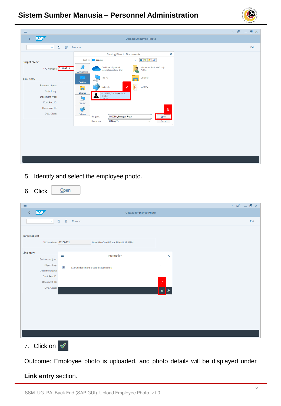

| $\equiv$                                                                                                |                                                                                                                                                                                                                           |                                                                                                       |
|---------------------------------------------------------------------------------------------------------|---------------------------------------------------------------------------------------------------------------------------------------------------------------------------------------------------------------------------|-------------------------------------------------------------------------------------------------------|
| <b>SAP</b><br>K                                                                                         |                                                                                                                                                                                                                           | <b>Upload Employee Photo</b>                                                                          |
| $\Box$<br>圙<br>$\sim$                                                                                   | More $\vee$                                                                                                                                                                                                               |                                                                                                       |
|                                                                                                         | <b>Storing Files in Documents</b>                                                                                                                                                                                         | $\pmb{\times}$                                                                                        |
| <b>Target object</b>                                                                                    | Look in: <b>Desktop</b>                                                                                                                                                                                                   | $\odot$ $\odot$ $\odot$ $\boxdot$<br>$\backsim$                                                       |
| *IC Number: 01100311                                                                                    | 矛<br>OneDrive - Dynamik<br>Technologies Sdn. Bhd<br>Quick access                                                                                                                                                          | Mohamad Amir Wafi Haji<br>Ariffin                                                                     |
| Link entry                                                                                              | This PC                                                                                                                                                                                                                   | Libraries                                                                                             |
| <b>Business object:</b><br>Object key:<br>Document type:<br>Cont.Rep.ID:<br>Document ID:<br>Doc. Class: | Desktop<br>5<br>Network<br><b>CO</b><br>Libraries<br>01100311_Employee Photo<br>$\bullet$<br>JPG File<br>œ<br>12.6 KB<br>This PC<br>Network<br>01100311_Employee Photo<br>File name:<br>All Files (*.*)<br>Files of type: | $\mathbf{E}$<br>SSM UG<br>$6\overline{6}$<br>Qpen<br>$\mathord{\cong}$<br>Cancel<br>$\checkmark$<br>h |
|                                                                                                         |                                                                                                                                                                                                                           |                                                                                                       |
|                                                                                                         |                                                                                                                                                                                                                           |                                                                                                       |
|                                                                                                         |                                                                                                                                                                                                                           |                                                                                                       |

- 5. Identify and select the employee photo.
- 6. Click  $Qpen$

| $\equiv$                |                                              |                                                  |                             |                | $\langle \circ \textbf{f} \circ \textbf{f} \circ \textbf{f} \circ \textbf{f} \circ \textbf{f} \circ \textbf{f} \circ \textbf{f} \circ \textbf{f} \circ \textbf{f} \circ \textbf{f} \circ \textbf{f} \circ \textbf{f} \circ \textbf{f} \circ \textbf{f} \circ \textbf{f} \circ \textbf{f} \circ \textbf{f} \circ \textbf{f} \circ \textbf{f} \circ \textbf{f} \circ \textbf{f} \circ \textbf{f} \circ \textbf{f} \circ \textbf{f} \circ \textbf{f} \circ \textbf{f} \circ \textbf{f} \circ$ |
|-------------------------|----------------------------------------------|--------------------------------------------------|-----------------------------|----------------|--------------------------------------------------------------------------------------------------------------------------------------------------------------------------------------------------------------------------------------------------------------------------------------------------------------------------------------------------------------------------------------------------------------------------------------------------------------------------------------------|
| <b>SAP</b><br>$\langle$ |                                              | <b>Upload Employee Photo</b>                     |                             |                |                                                                                                                                                                                                                                                                                                                                                                                                                                                                                            |
| $\vee$                  | $\overline{\overline{\mathbb{W}}}$<br>$\Box$ | More $\vee$                                      |                             |                | Exit                                                                                                                                                                                                                                                                                                                                                                                                                                                                                       |
| <b>Target object</b>    |                                              |                                                  |                             |                |                                                                                                                                                                                                                                                                                                                                                                                                                                                                                            |
| *IC Number: 01100311    |                                              | MOHAMAD AMIR WAFI HAJI ARIFFIN                   |                             |                |                                                                                                                                                                                                                                                                                                                                                                                                                                                                                            |
| Link entry              | $\equiv$                                     | Information                                      |                             | $\pmb{\times}$ |                                                                                                                                                                                                                                                                                                                                                                                                                                                                                            |
| <b>Business object:</b> |                                              |                                                  |                             |                |                                                                                                                                                                                                                                                                                                                                                                                                                                                                                            |
| Object key:             | $\mathbf{i}$                                 | $\Gamma$<br>Stored document created successfully | $\mathcal{D}_{\mathcal{A}}$ |                |                                                                                                                                                                                                                                                                                                                                                                                                                                                                                            |
| Document type:          |                                              |                                                  |                             |                |                                                                                                                                                                                                                                                                                                                                                                                                                                                                                            |
| Cont.Rep.ID:            |                                              |                                                  |                             |                |                                                                                                                                                                                                                                                                                                                                                                                                                                                                                            |
| Document ID:            |                                              |                                                  | $\overline{7}$              |                |                                                                                                                                                                                                                                                                                                                                                                                                                                                                                            |
| Doc. Class:             |                                              |                                                  | $\mathscr Q$<br>$\circ$     |                |                                                                                                                                                                                                                                                                                                                                                                                                                                                                                            |
|                         |                                              |                                                  |                             |                |                                                                                                                                                                                                                                                                                                                                                                                                                                                                                            |
|                         |                                              |                                                  |                             |                |                                                                                                                                                                                                                                                                                                                                                                                                                                                                                            |
|                         |                                              |                                                  |                             |                |                                                                                                                                                                                                                                                                                                                                                                                                                                                                                            |
|                         |                                              |                                                  |                             |                |                                                                                                                                                                                                                                                                                                                                                                                                                                                                                            |
|                         |                                              |                                                  |                             |                |                                                                                                                                                                                                                                                                                                                                                                                                                                                                                            |
|                         |                                              |                                                  |                             |                |                                                                                                                                                                                                                                                                                                                                                                                                                                                                                            |
|                         |                                              |                                                  |                             |                |                                                                                                                                                                                                                                                                                                                                                                                                                                                                                            |
|                         |                                              |                                                  |                             |                |                                                                                                                                                                                                                                                                                                                                                                                                                                                                                            |

7. Click on  $\sqrt{2}$ 

Outcome: Employee photo is uploaded, and photo details will be displayed under

#### **Link entry** section.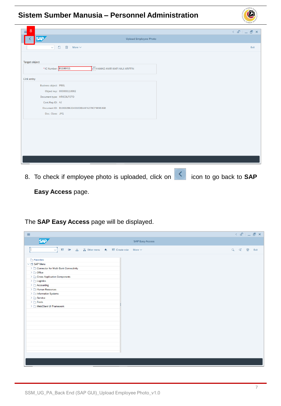

8. To check if employee photo is uploaded, click on **integral in the go back to SAP** 

 $\mathcal{V}$ 

#### **Easy Access** page.

The **SAP Easy Access** page will be displayed.

| $\equiv$                                                                                                                                                                                                                                                                                                                  | $\langle \begin{array}{c c} \mathbb{G} & \mathbb{D} & \mathbb{D} \end{array} \rangle$ |
|---------------------------------------------------------------------------------------------------------------------------------------------------------------------------------------------------------------------------------------------------------------------------------------------------------------------------|---------------------------------------------------------------------------------------|
| <b>SAP</b>                                                                                                                                                                                                                                                                                                                | <b>SAP Easy Access</b>                                                                |
| ■ ■ と 品 Other menu ★ 国 Create role More ∨<br>$\sim$                                                                                                                                                                                                                                                                       | Q d 骨<br>Exit                                                                         |
| Favorites<br>$\vee$ $\Box$ SAP Menu<br>> Connector for Multi-Bank Connectivity<br>$\geq$ $\Box$ Office<br>> Cross-Application Components<br>$\geq$ $\Box$ Logistics<br>$\geq$ $\Box$ Accounting<br>Human Resources<br>> Information Systems<br>$\geq$ $\Box$ Service<br>$\geq$ $\Box$ Tools<br>> □ WebClient UI Framework |                                                                                       |
|                                                                                                                                                                                                                                                                                                                           |                                                                                       |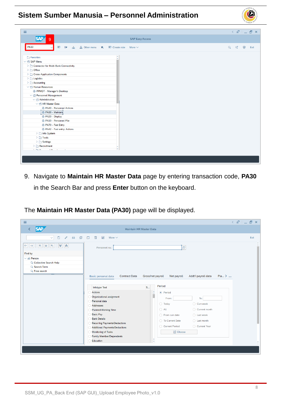

9. Navigate to **Maintain HR Master Data** page by entering transaction code, **PA30** in the Search Bar and press **Enter** button on the keyboard.

The **Maintain HR Master Data (PA30)** page will be displayed.

| $\equiv$                                                                                                                                                             |                                                                                                                                                                                                                                                                                                                                                                                                                                                                                                                                                                                                                                                                                                                                                                                                       | $\langle$ $\oplus$ $ $ $\oplus$ $\oplus$ $\times$ $ $ |
|----------------------------------------------------------------------------------------------------------------------------------------------------------------------|-------------------------------------------------------------------------------------------------------------------------------------------------------------------------------------------------------------------------------------------------------------------------------------------------------------------------------------------------------------------------------------------------------------------------------------------------------------------------------------------------------------------------------------------------------------------------------------------------------------------------------------------------------------------------------------------------------------------------------------------------------------------------------------------------------|-------------------------------------------------------|
| <b>SAP</b>                                                                                                                                                           | Maintain HR Master Data                                                                                                                                                                                                                                                                                                                                                                                                                                                                                                                                                                                                                                                                                                                                                                               |                                                       |
| đ<br>$\Box$<br>O<br>$6\delta$<br>$\checkmark$<br>×<br>$\hat{z}$<br>$\star$<br>$\star$<br>齐<br>$\leftarrow$<br>Find by<br>$\vee$ 8 Person<br>Q Collective Search Help | $\Box$<br>喕<br>$\overline{\mathbb{A}^2}$<br>More $\vee$<br>e<br>Personnel no.:                                                                                                                                                                                                                                                                                                                                                                                                                                                                                                                                                                                                                                                                                                                        | Exit<br>$\hat{\phantom{a}}$<br>v                      |
| Q Search Term<br>Q Free search                                                                                                                                       | Plan. ><br><b>Contract Data</b><br>Gross/net payroll<br>Net payroll<br>Addt'l payroll data<br><b>Basic personal data</b><br>Period<br><b>S</b><br>Infotype Text<br>×<br><b>Actions</b><br>• Period<br>ř<br>Organizational assignment<br>To:<br>From:<br>Personal data<br>$\bigcirc$ Today<br>◯ Curr.week<br><b>Addresses</b><br>$\bigcirc$ All<br>◯ Current month<br><b>Planned Working Time</b><br><b>Basic Pay</b><br>$\bigcirc$ Last week<br>$\bigcap$ From curr.date<br><b>Bank Details</b><br>$\bigcirc$ Last month<br>◯ To Current Date<br><b>Recurring Payments/Deductions</b><br>◯ Current Year<br>Current Period<br><b>Additional Payments/Deductions</b><br><b>凹 Choose</b><br><b>Monitoring of Tasks</b><br><b>Family Member/Dependents</b><br>$\sim$<br>Education<br>$\ddot{\phantom{1}}$ | ×<br>v                                                |

 $\mathcal{P}$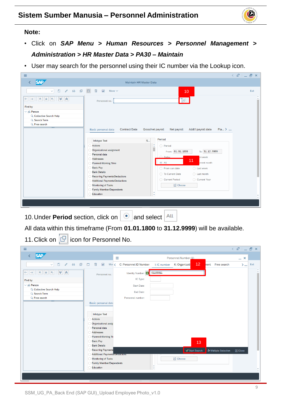

#### **Note:**

- Click on *SAP Menu > Human Resources > Personnel Management > Administration > HR Master Data > PA30 – Maintain*
- User may search for the personnel using their IC number via the Lookup icon.

| $\equiv$                                                                                                                                                              |                                                                                                                                                                                                                                                                                                                                                                                                                                                                                                                                                                                                                                                                                                                                                            | $\langle$ $\oplus$ $ $ $\oplus$ $\oplus$ $\times$ |
|-----------------------------------------------------------------------------------------------------------------------------------------------------------------------|------------------------------------------------------------------------------------------------------------------------------------------------------------------------------------------------------------------------------------------------------------------------------------------------------------------------------------------------------------------------------------------------------------------------------------------------------------------------------------------------------------------------------------------------------------------------------------------------------------------------------------------------------------------------------------------------------------------------------------------------------------|---------------------------------------------------|
| <b>SAP</b>                                                                                                                                                            | <b>Maintain HR Master Data</b>                                                                                                                                                                                                                                                                                                                                                                                                                                                                                                                                                                                                                                                                                                                             |                                                   |
| $\begin{array}{cccccccccccccc} \mathscr{O} & \mathscr{E} & \mathscr{E} & \mathscr{O} & \mathscr{O} & \mathscr{O} & \mathscr{O} \end{array}$<br>$\Box$<br>$\checkmark$ | $\overline{\mathbb{A}^2}$<br>More $\vee$<br>10                                                                                                                                                                                                                                                                                                                                                                                                                                                                                                                                                                                                                                                                                                             | Exit                                              |
| $ \star $<br>$\vert \star$<br>է<br>$ \mathbb{A} $<br>$\rightarrow$<br>$\leftarrow$<br>內                                                                               | ŀQ<br>Personnel no.:                                                                                                                                                                                                                                                                                                                                                                                                                                                                                                                                                                                                                                                                                                                                       | $\hat{\phantom{a}}$<br>$\checkmark$               |
| Find by<br>$\vee$ 88 Person<br>Q Collective Search Help<br>Q Search Term<br>Q Free search                                                                             | Plan. ><br>Basic personal data<br><b>Contract Data</b><br>Gross/net payroll<br>Net payroll<br>Addt'l payroll data<br>Period<br>S<br><b>Infotype Text</b><br>¢<br><b>Actions</b><br>◯ Period<br>ш<br>Organizational assignment<br>From: 01.01.1800<br>To: 31.12.9999<br>Personal data<br><b>Q</b> Today<br>urr.week<br><b>Addresses</b><br>11<br>$\odot$ All<br>urrent month<br><b>Planned Working Time</b><br><b>Basic Pay</b><br>◯ From curr.date<br>$\bigcirc$ Last week<br><b>Bank Details</b><br>◯ To Current Date<br>$\bigcirc$ Last month<br><b>Recurring Payments/Deductions</b><br>◯ Current Period<br>◯ Current Year<br><b>Additional Payments/Deductions</b><br><b>闩</b> Choose<br><b>Monitoring of Tasks</b><br><b>Family Member/Dependents</b> |                                                   |
|                                                                                                                                                                       | $\hat{\phantom{a}}$<br><b>Education</b><br>w                                                                                                                                                                                                                                                                                                                                                                                                                                                                                                                                                                                                                                                                                                               | $\hat{\phantom{a}}$<br>v                          |
|                                                                                                                                                                       |                                                                                                                                                                                                                                                                                                                                                                                                                                                                                                                                                                                                                                                                                                                                                            |                                                   |

10. Under **Period** section, click on **a** and select <sup>All</sup>

All data within this timeframe (From **01.01.1800** to **31.12.9999**) will be available.

11. Click on  $\boxed{C}$  icon for Personnel No.

| $\equiv$                                                                                                                                                                              |                                                                                                                                                                                                                                                                                                                                      | $\langle$ a <sup>n</sup> = $\mathbb{R}$ x |               |
|---------------------------------------------------------------------------------------------------------------------------------------------------------------------------------------|--------------------------------------------------------------------------------------------------------------------------------------------------------------------------------------------------------------------------------------------------------------------------------------------------------------------------------------|-------------------------------------------|---------------|
| <b>SAP</b>                                                                                                                                                                            | $\equiv$<br>Personnel Number (1)                                                                                                                                                                                                                                                                                                     | $- x$                                     |               |
| 68 印 门<br>O<br>$\mathscr{O}$<br>$\checkmark$                                                                                                                                          | 12 <sup>°</sup><br>画<br>$\overline{\mathbf{w}}$<br>Mor < C: Personnel ID Number<br>K: Organizati<br>hent Free search<br>I: IC number                                                                                                                                                                                                 | Exit<br>$\sum_{\alpha=0}^{\infty}$        |               |
| $ \star $ $\star$<br>×<br>$\hat{z}$<br>$ \star_{\!\!z}$<br>$\leftarrow$<br>$\rightarrow$<br>Find by<br>$\vee$ 88 Person<br>Q Collective Search Help<br>Q Search Term<br>Q Free search | 01100311<br>Identity Number:<br>Personnel no.:<br>IC Type:<br><b>Start Date:</b><br>End Date:<br>Personnel number:<br><b>Basic personal data</b><br>Infotype Text<br><b>Actions</b><br>Organizational assig<br>Personal data<br><b>Addresses</b><br><b>Planned Working Tir</b><br><b>Basic Pay</b><br>0<br>13<br><b>Bank Details</b> |                                           | $\sim$<br>l v |
|                                                                                                                                                                                       | <b>Recurring Payments</b><br>$\mathcal Q$ Start Search<br>↓ Multiple Selection<br><b>Additional Payments/Dequations</b><br><b>□</b> Choose<br>Monitoring of Tasks<br><b>Family Member/Dependents</b><br>$\hat{\phantom{a}}$<br>Education<br>v                                                                                        | <b>E</b> Close                            |               |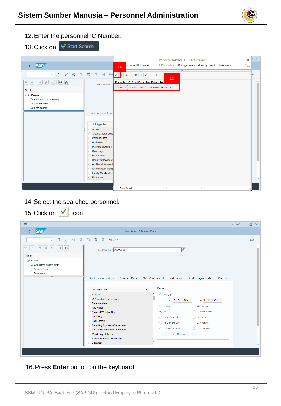

- 12.Enter the personnel IC Number.
- 13. Click on √Start Search

| Ξ                                                                                                                     | $\equiv$<br>Personnel Number (1) 1 Entry found                                                                                                     | ī.<br>$\boldsymbol{\times}$<br>$- x$ |
|-----------------------------------------------------------------------------------------------------------------------|----------------------------------------------------------------------------------------------------------------------------------------------------|--------------------------------------|
| <b>SAP</b>                                                                                                            | rsonnel ID Number<br>K: Organizational assignment<br>Free search<br>I: IC number<br>14                                                             | $>$ $\infty$                         |
|                                                                                                                       | $\overline{\vee}$                                                                                                                                  |                                      |
| 68 印 筒<br>$\Box$<br>画<br>$\mathscr{O}$<br>$\Delta \vec{S}$<br>$\sim$                                                  | $\begin{array}{ c c c c }\hline \textbf{Q} & \textbf{Q} & \textbf{A} & \textbf{B} & \textbf{B} & \textbf{B} \\\hline \end{array}$<br>Mor V D<br>15 | ixit                                 |
| $ \star $ $\star$<br>$\preccurlyeq$<br>$\hat{\mathcal{R}}$<br>$\leftarrow$ $\rightarrow$<br>$\star$<br>Personnel no.: | ID Numb IC Start Date End Date Per                                                                                                                 |                                      |
| Find by                                                                                                               | 01100311 01 01.01.2021 31.12.9999 00000311                                                                                                         |                                      |
| $\vee$ 8 Person                                                                                                       |                                                                                                                                                    |                                      |
| Q Collective Search Help                                                                                              |                                                                                                                                                    |                                      |
| Q Search Term                                                                                                         |                                                                                                                                                    |                                      |
| Q Free search                                                                                                         |                                                                                                                                                    |                                      |
| Basic personal data                                                                                                   |                                                                                                                                                    |                                      |
|                                                                                                                       |                                                                                                                                                    |                                      |
|                                                                                                                       |                                                                                                                                                    |                                      |
| Infotype Text                                                                                                         |                                                                                                                                                    |                                      |
| <b>Actions</b>                                                                                                        |                                                                                                                                                    |                                      |
| Organizational assig                                                                                                  |                                                                                                                                                    |                                      |
| Personal data                                                                                                         |                                                                                                                                                    |                                      |
| <b>Addresses</b>                                                                                                      |                                                                                                                                                    |                                      |
| <b>Planned Working Tit</b>                                                                                            |                                                                                                                                                    |                                      |
| <b>Basic Pay</b>                                                                                                      |                                                                                                                                                    |                                      |
| <b>Bank Details</b>                                                                                                   |                                                                                                                                                    |                                      |
| <b>Recurring Payments</b>                                                                                             |                                                                                                                                                    |                                      |
| <b>Additional Payments</b>                                                                                            |                                                                                                                                                    |                                      |
| Monitoring of Tasks                                                                                                   |                                                                                                                                                    |                                      |
| Family Member/De                                                                                                      |                                                                                                                                                    |                                      |
| Education                                                                                                             |                                                                                                                                                    |                                      |
|                                                                                                                       |                                                                                                                                                    |                                      |
|                                                                                                                       | 1 Entry found                                                                                                                                      |                                      |

14.Select the searched personnel.

15. Click on  $\sqrt{\phantom{a}}$  icon.

| 19.91911911<br>                                                                          |                                                                                                                                                                                                                                                                                                                                                                                                                                                                                                                                                                                                                                                                                                                                                                                                              |                                                       |
|------------------------------------------------------------------------------------------|--------------------------------------------------------------------------------------------------------------------------------------------------------------------------------------------------------------------------------------------------------------------------------------------------------------------------------------------------------------------------------------------------------------------------------------------------------------------------------------------------------------------------------------------------------------------------------------------------------------------------------------------------------------------------------------------------------------------------------------------------------------------------------------------------------------|-------------------------------------------------------|
| $\equiv$                                                                                 |                                                                                                                                                                                                                                                                                                                                                                                                                                                                                                                                                                                                                                                                                                                                                                                                              | $\langle$ $\oplus$ $ $ $\oplus$ $\oplus$ $\times$ $ $ |
| <b>SAP</b><br>K                                                                          | <b>Maintain HR Master Data</b>                                                                                                                                                                                                                                                                                                                                                                                                                                                                                                                                                                                                                                                                                                                                                                               |                                                       |
| 0<br>$\mathscr{O}$<br>$\checkmark$                                                       | $\overrightarrow{ab}$<br>More $\vee$                                                                                                                                                                                                                                                                                                                                                                                                                                                                                                                                                                                                                                                                                                                                                                         | Exit                                                  |
| ∨<br>'<br>$\star$<br>$\leftarrow$<br>★<br>$\rightarrow$                                  | 9<br>Personnel no.: 00000311                                                                                                                                                                                                                                                                                                                                                                                                                                                                                                                                                                                                                                                                                                                                                                                 |                                                       |
| Find by<br>$\vee$ 8 Person<br>Q Collective Search Help<br>Q Search Term<br>Q Free search | Plan. ><br><b>Contract Data</b><br>Gross/net payroll<br>Net payroll<br>Addt'l payroll data<br>Basic personal data<br>Period<br>S<br><b>Infotype Text</b><br>¢<br><b>Actions</b><br>O Period<br>Π<br>Organizational assignment<br>To: 31.12.9999<br>From: 01.01.1800<br>Personal data<br>$\bigcirc$ Today<br>◯ Curr.week<br><b>Addresses</b><br>$\odot$ All<br>$\bigcirc$ Current month<br><b>Planned Working Time</b><br><b>Basic Pay</b><br>◯ From curr.date<br>$\bigcirc$ Last week<br><b>Bank Details</b><br>◯ To Current Date<br>$\bigcirc$ Last month<br><b>Recurring Payments/Deductions</b><br>Current Period<br>◯ Current Year<br><b>Additional Payments/Deductions</b><br><b>Monitoring of Tasks</b><br><b>凹 Choose</b><br><b>Family Member/Dependents</b><br>$\hat{\phantom{a}}$<br>Education<br>v | $\sim$                                                |
|                                                                                          |                                                                                                                                                                                                                                                                                                                                                                                                                                                                                                                                                                                                                                                                                                                                                                                                              |                                                       |

16.Press **Enter** button on the keyboard.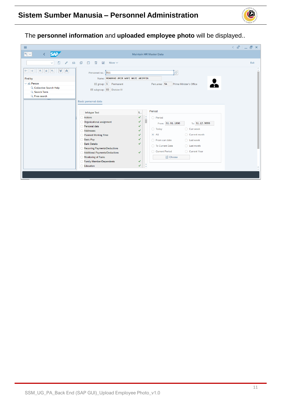

The **personnel information** and **uploaded employee photo** will be displayed..

| $\equiv$                                                                                                                                                       |                                                                                                                                                                                                                                                                                                                                                                                                                                                                                                                                                                                                                                                                                                                                                          | $\leq$ $\mathbf{E}$ $\perp$ $\mathbf{E}$ $\geq$ |
|----------------------------------------------------------------------------------------------------------------------------------------------------------------|----------------------------------------------------------------------------------------------------------------------------------------------------------------------------------------------------------------------------------------------------------------------------------------------------------------------------------------------------------------------------------------------------------------------------------------------------------------------------------------------------------------------------------------------------------------------------------------------------------------------------------------------------------------------------------------------------------------------------------------------------------|-------------------------------------------------|
| <b>SAP</b><br>$ \mathbb{R} \sim$<br>$\left\langle \right\rangle$                                                                                               | <b>Maintain HR Master Data</b>                                                                                                                                                                                                                                                                                                                                                                                                                                                                                                                                                                                                                                                                                                                           |                                                 |
| n<br>$\mathscr{O}$<br>$6\delta$<br>$\vee$                                                                                                                      | €<br>$\mathbb{D}$<br>而<br>$\overline{a}$<br>More $\vee$                                                                                                                                                                                                                                                                                                                                                                                                                                                                                                                                                                                                                                                                                                  | Exit                                            |
| 大大<br>V<br>$\leftarrow$ $\rightarrow$<br>$\frac{1}{\sqrt{2}}$<br>《<br>Find by<br>$\vee$ 8 Person<br>Q Collective Search Help<br>Q Search Term<br>Q Free search | e<br>Personnel no.: B11<br>Name: MOHAMAD AMIR WAFI HAJI ARIFFIN<br>EE group: 1 Permanent<br>Pers.area: SA<br>Prime Minister's Office<br>EE subgroup: 03 Division III<br>Basic personal data                                                                                                                                                                                                                                                                                                                                                                                                                                                                                                                                                              | $\sim$<br>$\checkmark$                          |
|                                                                                                                                                                | Period<br>S<br><b>Infotype Text</b><br>٥<br>$\checkmark$<br>O Period<br><b>Actions</b><br>Organizational assignment<br>✓<br>From: 01.01.1800<br>To: 31.12.9999<br>Personal data<br>$\checkmark$<br>◯ Curr.week<br>$\bigcirc$ Today<br><b>Addresses</b><br>✓<br>$\odot$ All<br>C Current month<br><b>Planned Working Time</b><br>$\checkmark$<br><b>Basic Pay</b><br>✓<br>◯ From curr.date<br>◯ Last week<br><b>Bank Details</b><br>✓<br>◯ To Current Date<br>$\bigcap$ Last month<br><b>Recurring Payments/Deductions</b><br>◯ Current Period<br>◯ Current Year<br><b>Additional Payments/Deductions</b><br>$\checkmark$<br><b>Monitoring of Tasks</b><br><b>凹 Choose</b><br>✓<br><b>Family Member/Dependents</b><br>×<br>$\checkmark$<br>Education<br>v | $\hat{\phantom{a}}$<br>$\overline{\phantom{a}}$ |
|                                                                                                                                                                |                                                                                                                                                                                                                                                                                                                                                                                                                                                                                                                                                                                                                                                                                                                                                          |                                                 |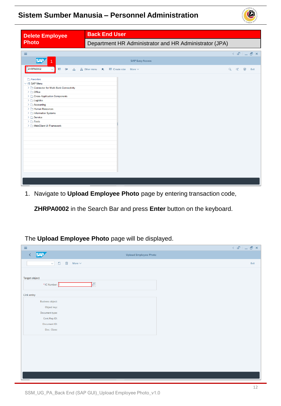

<span id="page-11-0"></span>

| <b>Delete Employee</b>                                                                                                                                                                                                                                                                                          | <b>Back End User</b>                                   |       |      |
|-----------------------------------------------------------------------------------------------------------------------------------------------------------------------------------------------------------------------------------------------------------------------------------------------------------------|--------------------------------------------------------|-------|------|
| <b>Photo</b>                                                                                                                                                                                                                                                                                                    | Department HR Administrator and HR Administrator (JPA) |       |      |
| $\equiv$                                                                                                                                                                                                                                                                                                        |                                                        |       |      |
| <b>SAP</b>                                                                                                                                                                                                                                                                                                      | <b>SAP Easy Access</b>                                 |       |      |
| <b>ZHRPA0002</b><br>圕<br>폴 系 Other menu<br>$\Box$                                                                                                                                                                                                                                                               | Create role<br>大<br>More $\vee$                        | Q d 骨 | Exit |
| Favorites<br>$\vee$ the SAP Menu<br>> Connector for Multi-Bank Connectivity<br>$\geq$ $\Box$ Office<br>> Cross-Application Components<br>$\geq$ $\Box$ Logistics<br>$\geq$ $\Box$ Accounting<br>Human Resources<br>> Information Systems<br>$\sum$ Service<br>$\geq$ $\Box$ Tools<br>> □ WebClient UI Framework |                                                        |       |      |

1. Navigate to **Upload Employee Photo** page by entering transaction code,

**ZHRPA0002** in the Search Bar and press **Enter** button on the keyboard.

#### The **Upload Employee Photo** page will be displayed.

| $\equiv$                                                              |                       | $\langle \begin{array}{c c} \circ \mathbb{S}^1 & \circ \end{array} \rangle = \begin{array}{c c} \circ \mathbb{S}^1 & \circ \end{array}$ |
|-----------------------------------------------------------------------|-----------------------|-----------------------------------------------------------------------------------------------------------------------------------------|
| <b>SAP</b><br>$\langle$                                               | Upload Employee Photo |                                                                                                                                         |
| $\Box$<br>$\overline{\overline{\mathbb{W}}}$<br>$\vee$<br>More $\vee$ |                       | Exit                                                                                                                                    |
| Target object<br>Ţc<br>*IC Number:                                    |                       |                                                                                                                                         |
| Link entry                                                            |                       |                                                                                                                                         |
| <b>Business object:</b>                                               |                       |                                                                                                                                         |
| Object key:                                                           |                       |                                                                                                                                         |
| Document type:                                                        |                       |                                                                                                                                         |
| Cont.Rep.ID:                                                          |                       |                                                                                                                                         |
| Document ID:                                                          |                       |                                                                                                                                         |
| Doc. Class:                                                           |                       |                                                                                                                                         |
|                                                                       |                       |                                                                                                                                         |
|                                                                       |                       |                                                                                                                                         |
|                                                                       |                       |                                                                                                                                         |
|                                                                       |                       |                                                                                                                                         |
|                                                                       |                       |                                                                                                                                         |
|                                                                       |                       |                                                                                                                                         |
|                                                                       |                       |                                                                                                                                         |
|                                                                       |                       |                                                                                                                                         |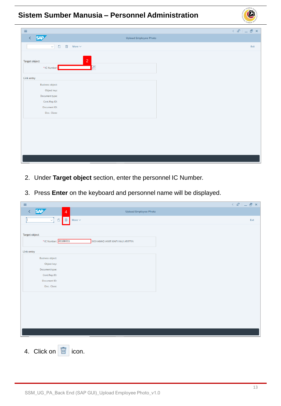| $\equiv$                                                              | $\langle \begin{array}{c c} \circ \\ \circ \\ \circ \end{array} \rangle = \begin{array}{c c} \circ \\ \circ \\ \circ \end{array} \begin{array}{c c} \circ \\ \circ \\ \circ \end{array}$ |
|-----------------------------------------------------------------------|------------------------------------------------------------------------------------------------------------------------------------------------------------------------------------------|
| <b>SAP</b><br>$\langle$                                               | Upload Employee Photo                                                                                                                                                                    |
| $\Box$<br>$\overline{\overline{\mathbb{W}}}$<br>$\vee$<br>More $\vee$ | Exit                                                                                                                                                                                     |
|                                                                       |                                                                                                                                                                                          |
| $\overline{2}$<br>Target object                                       |                                                                                                                                                                                          |
| *IC Number:                                                           | e                                                                                                                                                                                        |
|                                                                       |                                                                                                                                                                                          |
| Link entry                                                            |                                                                                                                                                                                          |
| <b>Business object:</b>                                               |                                                                                                                                                                                          |
| Object key:                                                           |                                                                                                                                                                                          |
| Document type:                                                        |                                                                                                                                                                                          |
| Cont.Rep.ID:                                                          |                                                                                                                                                                                          |
| Document ID:                                                          |                                                                                                                                                                                          |
| Doc. Class:                                                           |                                                                                                                                                                                          |
|                                                                       |                                                                                                                                                                                          |
|                                                                       |                                                                                                                                                                                          |
|                                                                       |                                                                                                                                                                                          |
|                                                                       |                                                                                                                                                                                          |
|                                                                       |                                                                                                                                                                                          |
|                                                                       |                                                                                                                                                                                          |
|                                                                       |                                                                                                                                                                                          |
|                                                                       |                                                                                                                                                                                          |
|                                                                       |                                                                                                                                                                                          |

- 2. Under **Target object** section, enter the personnel IC Number.
- 3. Press **Enter** on the keyboard and personnel name will be displayed.

| $\equiv$                                                       |                                | $\langle$ $\oplus$ $ $ $\oplus$ $\oplus$ $\times$ |
|----------------------------------------------------------------|--------------------------------|---------------------------------------------------|
| <b>SAP</b><br>K<br>$\overline{4}$                              | <b>Upload Employee Photo</b>   |                                                   |
| $\sqrt{2}$<br>$\overline{\mathbb{W}}$<br>$\Box$<br>More $\sim$ |                                | Exit                                              |
|                                                                |                                |                                                   |
| <b>Target object</b>                                           |                                |                                                   |
| *IC Number: 01100311                                           | MOHAMAD AMIR WAFI HAJI ARIFFIN |                                                   |
| Link entry                                                     |                                |                                                   |
| <b>Business object:</b>                                        |                                |                                                   |
| Object key:                                                    |                                |                                                   |
| Document type:                                                 |                                |                                                   |
| Cont.Rep.ID:                                                   |                                |                                                   |
| Document ID:                                                   |                                |                                                   |
| Doc. Class:                                                    |                                |                                                   |
|                                                                |                                |                                                   |
|                                                                |                                |                                                   |
|                                                                |                                |                                                   |
|                                                                |                                |                                                   |
|                                                                |                                |                                                   |
|                                                                |                                |                                                   |
|                                                                |                                |                                                   |
|                                                                |                                |                                                   |
| 靣<br>4. Click on<br>icon.                                      |                                |                                                   |

 $\mathcal{V}$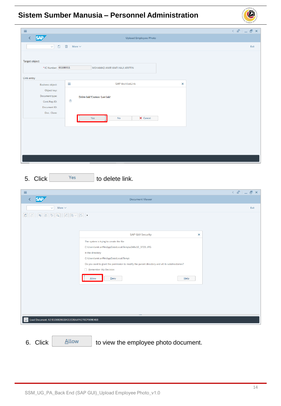| Ξ                       |                                               | $\langle \begin{array}{c c} \mathbb{G} & \mathbb{D} \end{array} \rangle = \begin{array}{c c} \mathbb{D} & \mathbb{N} \end{array}$ |
|-------------------------|-----------------------------------------------|-----------------------------------------------------------------------------------------------------------------------------------|
| <b>SAP</b><br>K         | Upload Employee Photo                         |                                                                                                                                   |
| $\Box$<br>$\vee$        | $\overline{\text{m}}$<br>More $\vee$          | Exit                                                                                                                              |
|                         |                                               |                                                                                                                                   |
| Target object           |                                               |                                                                                                                                   |
| *IC Number: 01100311    | MOHAMAD AMIR WAFI HAJI ARIFFIN                |                                                                                                                                   |
| Link entry              |                                               |                                                                                                                                   |
| <b>Business object:</b> | <b>SAP ArchiveLink</b><br>Ξ<br>$\pmb{\times}$ |                                                                                                                                   |
| Object key:             |                                               |                                                                                                                                   |
| Document type:          | Delete link?Caution: Last link!               |                                                                                                                                   |
| Cont.Rep.ID:            | $^{\circ}$                                    |                                                                                                                                   |
| Document ID:            |                                               |                                                                                                                                   |
| Doc. Class:             |                                               |                                                                                                                                   |
|                         | X Cancel<br>Yes<br>No                         |                                                                                                                                   |
|                         |                                               |                                                                                                                                   |
|                         |                                               |                                                                                                                                   |
|                         |                                               |                                                                                                                                   |
|                         |                                               |                                                                                                                                   |
|                         |                                               |                                                                                                                                   |
|                         |                                               |                                                                                                                                   |
|                         |                                               |                                                                                                                                   |

 $5. \text{ Click}$   $\frac{1}{100}$   $\frac{1}{100}$  to delete link.

| $\equiv$                                                                                                                                                                                                                                                                                                                                                                         |                                                                                                      |
|----------------------------------------------------------------------------------------------------------------------------------------------------------------------------------------------------------------------------------------------------------------------------------------------------------------------------------------------------------------------------------|------------------------------------------------------------------------------------------------------|
| <b>SAP</b><br>≺                                                                                                                                                                                                                                                                                                                                                                  | <b>Document Viewer</b>                                                                               |
| $\vee$<br>More $\vee$                                                                                                                                                                                                                                                                                                                                                            |                                                                                                      |
|                                                                                                                                                                                                                                                                                                                                                                                  |                                                                                                      |
| $\fbox{15} \mid \fbox{26} \mid \fbox{27} \mid \fbox{28} \mid \fbox{29} \mid \fbox{20} \mid \fbox{21} \mid \fbox{23} \mid \fbox{24} \mid \fbox{25} \mid \fbox{26} \mid \fbox{27} \mid \fbox{28} \mid \fbox{29} \mid \fbox{20} \mid \fbox{27} \mid \fbox{28} \mid \fbox{29} \mid \fbox{20} \mid \fbox{20} \mid \fbox{21} \mid \fbox{22} \mid \fbox{23} \mid \fbox{24} \mid \fbox{$ |                                                                                                      |
|                                                                                                                                                                                                                                                                                                                                                                                  |                                                                                                      |
|                                                                                                                                                                                                                                                                                                                                                                                  | <b>SAP GUI Security</b><br>$\times$                                                                  |
|                                                                                                                                                                                                                                                                                                                                                                                  |                                                                                                      |
|                                                                                                                                                                                                                                                                                                                                                                                  | The system is trying to create the file<br>C:\Users\amir.ariffin\AppData\Local\Temp\a248a10_3723.JPG |
|                                                                                                                                                                                                                                                                                                                                                                                  | in the directory                                                                                     |
|                                                                                                                                                                                                                                                                                                                                                                                  | C:\Users\amir.ariffin\AppData\Local\Temp\                                                            |
|                                                                                                                                                                                                                                                                                                                                                                                  | Do you want to grant the permission to modify the parent directory and all its subdirectories?       |
|                                                                                                                                                                                                                                                                                                                                                                                  | Remember My Decision                                                                                 |
|                                                                                                                                                                                                                                                                                                                                                                                  | Allow<br>Deny<br>Help                                                                                |
|                                                                                                                                                                                                                                                                                                                                                                                  |                                                                                                      |
|                                                                                                                                                                                                                                                                                                                                                                                  |                                                                                                      |
|                                                                                                                                                                                                                                                                                                                                                                                  |                                                                                                      |
|                                                                                                                                                                                                                                                                                                                                                                                  |                                                                                                      |
|                                                                                                                                                                                                                                                                                                                                                                                  |                                                                                                      |
|                                                                                                                                                                                                                                                                                                                                                                                  |                                                                                                      |
| H Load Document: A2 B106928633431EDBAAFA270CF909E46B                                                                                                                                                                                                                                                                                                                             |                                                                                                      |
|                                                                                                                                                                                                                                                                                                                                                                                  |                                                                                                      |
|                                                                                                                                                                                                                                                                                                                                                                                  |                                                                                                      |

6. Click  $\left\lfloor \frac{\text{Allow}}{\text{Allow}} \right\rfloor$  to view the employee photo document.

 $\overline{\mathcal{L}}$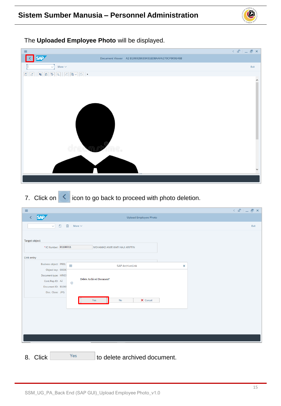The **Uploaded Employee Photo** will be displayed.



7. Click on  $\leq$  icon to go back to proceed with photo deletion.

| $\equiv$                                                     |                                                         |                                |                | $\langle \begin{array}{c c} \circ \\ \circ \\ \circ \end{array} \rangle = \begin{array}{c c} \circ \\ \circ \\ \circ \end{array} \begin{array}{c} \circ \\ \circ \\ \circ \end{array}$ |
|--------------------------------------------------------------|---------------------------------------------------------|--------------------------------|----------------|----------------------------------------------------------------------------------------------------------------------------------------------------------------------------------------|
| <b>SAP</b><br>K                                              |                                                         | <b>Upload Employee Photo</b>   |                |                                                                                                                                                                                        |
| $\vee$                                                       | $\overline{\text{III}}$<br>$\Box$<br>More $\smallsmile$ |                                |                | Exit                                                                                                                                                                                   |
| Target object<br>*IC Number: 01100311                        |                                                         | MOHAMAD AMIR WAFI HAJI ARIFFIN |                |                                                                                                                                                                                        |
| Link entry                                                   |                                                         |                                |                |                                                                                                                                                                                        |
| Business object: PREL                                        | Ξ                                                       | <b>SAP ArchiveLink</b>         | $\pmb{\times}$ |                                                                                                                                                                                        |
| Object key: 00000<br>Document type: HRICO<br>Cont.Rep.ID: A2 | $\circledcirc$                                          | Delete Archived Document?      |                |                                                                                                                                                                                        |
| Document ID: B1069<br>Doc. Class: JPG                        |                                                         |                                |                |                                                                                                                                                                                        |
|                                                              |                                                         | X Cancel<br><b>No</b><br>Yes   |                |                                                                                                                                                                                        |
|                                                              |                                                         |                                |                |                                                                                                                                                                                        |
|                                                              |                                                         |                                |                |                                                                                                                                                                                        |
|                                                              |                                                         |                                |                |                                                                                                                                                                                        |
| $\sim$                                                       |                                                         |                                |                |                                                                                                                                                                                        |

8. Click <sup>Yes</sup> to delete archived document.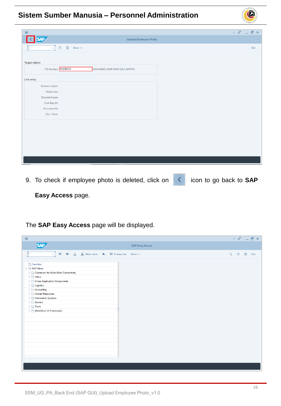

9. To check if employee photo is deleted, click on **integral on the go back to SAP** 

 $\mathcal{V}$ 

**Easy Access** page.

The **SAP Easy Access** page will be displayed.

| $\equiv$                                                                                                                                                                                                                                                                                                                         | $\langle \begin{array}{c c} \mathbb{G} & \mathbb{D} & \mathbb{D} \end{array} \rangle$ |
|----------------------------------------------------------------------------------------------------------------------------------------------------------------------------------------------------------------------------------------------------------------------------------------------------------------------------------|---------------------------------------------------------------------------------------|
| <b>SAP</b>                                                                                                                                                                                                                                                                                                                       | <b>SAP Easy Access</b>                                                                |
| <b>■ ■ ▲ A Other menu ★ ■ Create role More ∨</b><br>$\checkmark$                                                                                                                                                                                                                                                                 | Q d' 骨<br>Exit                                                                        |
| $\Box$ Favorites<br>$\vee$ $\Box$ SAP Menu<br>> Connector for Multi-Bank Connectivity<br>$\geq$ $\Box$ Office<br>> Cross-Application Components<br>$\geq$ $\Box$ Logistics<br>$\geq$ $\Box$ Accounting<br>> Human Resources<br>> Information Systems<br>$\geq \Box$ Service<br>$\geq$ $\Box$ Tools<br>> □ WebClient UI Framework |                                                                                       |
|                                                                                                                                                                                                                                                                                                                                  |                                                                                       |
|                                                                                                                                                                                                                                                                                                                                  |                                                                                       |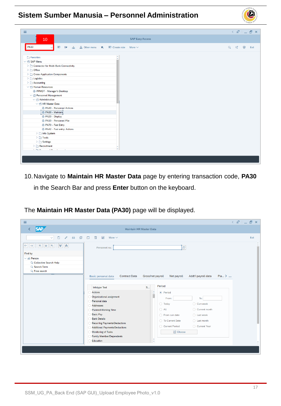

10.Navigate to **Maintain HR Master Data** page by entering transaction code, **PA30** in the Search Bar and press **Enter** button on the keyboard.

The **Maintain HR Master Data (PA30)** page will be displayed.

| $\equiv$                                                                                                                                                             |                                                                                                                                                                                                                                                                                                                                                                                                                                                                                                                                                                                                                                                                                                                                                                                                       | $\langle$ $\oplus$ $ $ $\oplus$ $\oplus$ $\times$ $ $ |
|----------------------------------------------------------------------------------------------------------------------------------------------------------------------|-------------------------------------------------------------------------------------------------------------------------------------------------------------------------------------------------------------------------------------------------------------------------------------------------------------------------------------------------------------------------------------------------------------------------------------------------------------------------------------------------------------------------------------------------------------------------------------------------------------------------------------------------------------------------------------------------------------------------------------------------------------------------------------------------------|-------------------------------------------------------|
| <b>SAP</b>                                                                                                                                                           | Maintain HR Master Data                                                                                                                                                                                                                                                                                                                                                                                                                                                                                                                                                                                                                                                                                                                                                                               |                                                       |
| đ<br>$\Box$<br>O<br>$6\delta$<br>$\checkmark$<br>×<br>$\hat{z}$<br>$\star$<br>$\star$<br>齐<br>$\leftarrow$<br>Find by<br>$\vee$ 8 Person<br>Q Collective Search Help | $\Box$<br>喕<br>$\overline{\mathbb{A}^2}$<br>More $\vee$<br>e<br>Personnel no.:                                                                                                                                                                                                                                                                                                                                                                                                                                                                                                                                                                                                                                                                                                                        | Exit<br>$\hat{\phantom{a}}$<br>v                      |
| Q Search Term<br>Q Free search                                                                                                                                       | Plan. ><br><b>Contract Data</b><br>Gross/net payroll<br>Net payroll<br>Addt'l payroll data<br><b>Basic personal data</b><br>Period<br><b>S</b><br>Infotype Text<br>×<br><b>Actions</b><br>• Period<br>ř<br>Organizational assignment<br>To:<br>From:<br>Personal data<br>$\bigcirc$ Today<br>◯ Curr.week<br><b>Addresses</b><br>$\bigcirc$ All<br>◯ Current month<br><b>Planned Working Time</b><br><b>Basic Pay</b><br>$\bigcirc$ Last week<br>$\bigcap$ From curr.date<br><b>Bank Details</b><br>$\bigcirc$ Last month<br>◯ To Current Date<br><b>Recurring Payments/Deductions</b><br>◯ Current Year<br>Current Period<br><b>Additional Payments/Deductions</b><br><b>凹 Choose</b><br><b>Monitoring of Tasks</b><br><b>Family Member/Dependents</b><br>$\sim$<br>Education<br>$\ddot{\phantom{1}}$ | ×<br>v                                                |

 $\mathcal{P}$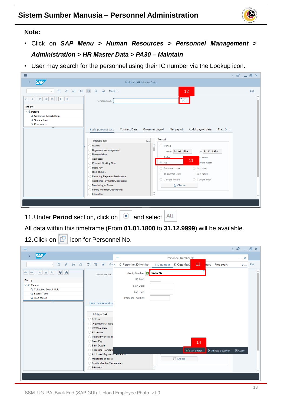

#### **Note:**

- Click on *SAP Menu > Human Resources > Personnel Management > Administration > HR Master Data > PA30 – Maintain*
- User may search for the personnel using their IC number via the Lookup icon.

| $\equiv$                                                                                                   |                                                                                                                                                                                                                                                                                                                                                                                                                                                                                                                                                                                                                                                                                                   | $\langle$ $\oplus$ $ $ $\oplus$ $\oplus$ $\times$ |
|------------------------------------------------------------------------------------------------------------|---------------------------------------------------------------------------------------------------------------------------------------------------------------------------------------------------------------------------------------------------------------------------------------------------------------------------------------------------------------------------------------------------------------------------------------------------------------------------------------------------------------------------------------------------------------------------------------------------------------------------------------------------------------------------------------------------|---------------------------------------------------|
| <b>SAP</b>                                                                                                 | <b>Maintain HR Master Data</b>                                                                                                                                                                                                                                                                                                                                                                                                                                                                                                                                                                                                                                                                    |                                                   |
| ● 68 日 □ 画<br>0<br>$\checkmark$                                                                            | $\overline{\mathbb{A}^2}$<br>More $\vee$<br>12 <sup>°</sup>                                                                                                                                                                                                                                                                                                                                                                                                                                                                                                                                                                                                                                       | Exit                                              |
| $\preccurlyeq$<br>$ \star $<br>$\hat{z}$<br>$\leftarrow$<br>$\rightarrow$<br>$\vert \star$<br>怖<br>Find by | ŀQ<br>Personnel no.:                                                                                                                                                                                                                                                                                                                                                                                                                                                                                                                                                                                                                                                                              | $\hat{\phantom{a}}$<br>$\checkmark$               |
| $\vee$ 8 <sup>8</sup> Person<br>Q Collective Search Help<br>Q Search Term<br>Q Free search                 | $Pla$ > $\sim$<br><b>Contract Data</b><br>Gross/net payroll<br>Addt'l payroll data<br>Basic personal data<br>Net payroll                                                                                                                                                                                                                                                                                                                                                                                                                                                                                                                                                                          |                                                   |
|                                                                                                            | Period<br>S<br><b>Infotype Text</b><br>$\ddot{\phantom{0}}$<br><b>Actions</b><br>◯ Period<br>Organizational assignment<br>From: 01.01.1800<br>To: 31.12.9999<br>Personal data<br>$\bigcirc$ Today<br>urr.week<br><b>Addresses</b><br>11<br>$\odot$ All<br>urrent month<br><b>Planned Working Time</b><br><b>Basic Pay</b><br>◯ From curr.date<br>$\bigcirc$ Last week<br><b>Bank Details</b><br>◯ To Current Date<br>$\bigcirc$ Last month<br><b>Recurring Payments/Deductions</b><br>◯ Current Period<br>Current Year<br><b>Additional Payments/Deductions</b><br><b>Monitoring of Tasks</b><br><b>凹 Choose</b><br><b>Family Member/Dependents</b><br>$\sim$<br><b>Education</b><br>$\checkmark$ | ۸                                                 |
|                                                                                                            |                                                                                                                                                                                                                                                                                                                                                                                                                                                                                                                                                                                                                                                                                                   |                                                   |

11. Under **Period** section, click on **a** and select  $\frac{d}{dx}$ 

All data within this timeframe (From **01.01.1800** to **31.12.9999**) will be available.

12. Click on  $\boxed{C}$  icon for Personnel No.

| $\equiv$                                                                                   |                                                                                                              | $\leq$ $\mathbf{E}$ $\perp$ $\mathbf{E}$ $\geq$ |
|--------------------------------------------------------------------------------------------|--------------------------------------------------------------------------------------------------------------|-------------------------------------------------|
| <b>SAP</b>                                                                                 | ≡<br>Personnel Number (1)                                                                                    | $- x$                                           |
| $6\delta$ $\Box$<br>O<br>$\mathscr{O}$<br>$\vee$                                           | 13<br>画<br>$\Delta S$<br>Mor < C: Personnel ID Number<br>K: Organizati<br>hent Free search<br>I: IC number   | Exit<br>$>$ $\sim$                              |
| 大大<br>$\preccurlyeq$<br>$\hat{z}$<br>$\frac{1}{\sqrt{2}}$<br>$\leftarrow$<br>$\rightarrow$ | Identity Number: 3 01100311<br>Personnel no.:                                                                | $\hat{\phantom{a}}$<br>$\ddot{\phantom{1}}$     |
| Find by                                                                                    | IC Type:                                                                                                     |                                                 |
| $\vee$ 88 Person                                                                           | <b>Start Date:</b>                                                                                           |                                                 |
| Q Collective Search Help<br>Q Search Term                                                  | <b>End Date:</b>                                                                                             |                                                 |
| Q Free search                                                                              | Personnel number:                                                                                            |                                                 |
|                                                                                            | <b>Basic personal data</b>                                                                                   |                                                 |
|                                                                                            |                                                                                                              |                                                 |
|                                                                                            | Infotype Text                                                                                                |                                                 |
|                                                                                            | <b>Actions</b>                                                                                               |                                                 |
|                                                                                            | Organizational assig<br>Personal data                                                                        |                                                 |
|                                                                                            | <b>Addresses</b>                                                                                             |                                                 |
|                                                                                            | <b>Planned Working Tir</b>                                                                                   |                                                 |
|                                                                                            | <b>Basic Pay</b><br>14                                                                                       |                                                 |
|                                                                                            | <b>Bank Details</b>                                                                                          |                                                 |
|                                                                                            | <b>Recurring Payments</b><br>√ Start Search<br>↓ Multiple Selection<br><b>Additional Payments/Dequations</b> | <b>E</b> Close                                  |
|                                                                                            | <b>凹 Choose</b><br><b>Monitoring of Tasks</b>                                                                |                                                 |
|                                                                                            | <b>Family Member/Dependents</b>                                                                              |                                                 |
|                                                                                            | $\sim$<br>Education<br>V                                                                                     | $\hat{\phantom{a}}$                             |
|                                                                                            |                                                                                                              |                                                 |
|                                                                                            |                                                                                                              |                                                 |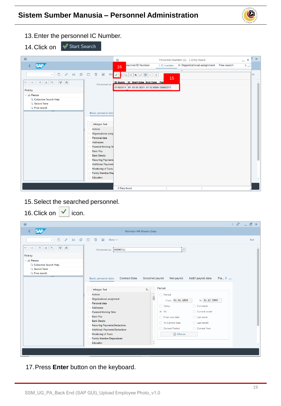

13.Enter the personnel IC Number.

14. Click on  $\sqrt{ }$  Start Search

| $\equiv$                                                                                                      | Ξ<br>Personnel Number (1) 1 Entry found<br>$- x$                                                                                    | 51<br>$\mathsf{x}$        |
|---------------------------------------------------------------------------------------------------------------|-------------------------------------------------------------------------------------------------------------------------------------|---------------------------|
| <b>SAP</b><br>≺                                                                                               | rsonnel ID Number<br>K: Organizational assignment<br>Free search<br>I: IC number<br>$>$ $\infty$<br>16                              |                           |
|                                                                                                               | $\overline{\mathsf{v}}$                                                                                                             |                           |
| 68 印 门<br>$\Box$<br>画<br>$\mathscr{O}$<br>$\Delta S$<br>$\checkmark$                                          | <b>Mor</b> ✔ $  \mathbf{G}  \mathbf{G}  \mathbf{G}  \mathbf{H}  \partial  \mathbf{G}  \mathbf{H}  \partial  \mathbf{G}  \mathbf{H}$ | ixit                      |
| $\leftarrow \rightarrow \mid \star \mid \star \mid$<br>$\preccurlyeq$<br>$\hat{z}$<br>$\mathbf{r}_{\text{c}}$ | 15<br>ID Numb IC Start Date End Date Per                                                                                            | $\hat{\phantom{a}}$<br>v. |
| Personnel no.:                                                                                                | 01100311 01 01.01.2021 31.12.9999 00000311                                                                                          |                           |
| Find by                                                                                                       |                                                                                                                                     |                           |
| $\vee$ 88 Person                                                                                              |                                                                                                                                     |                           |
| Q Collective Search Help                                                                                      |                                                                                                                                     |                           |
| Q Search Term                                                                                                 |                                                                                                                                     |                           |
| Q Free search                                                                                                 |                                                                                                                                     |                           |
| <b>Basic personal data</b>                                                                                    |                                                                                                                                     |                           |
|                                                                                                               |                                                                                                                                     |                           |
| Infotype Text                                                                                                 |                                                                                                                                     |                           |
| <b>Actions</b>                                                                                                |                                                                                                                                     |                           |
| Organizational assig                                                                                          |                                                                                                                                     |                           |
| Personal data                                                                                                 |                                                                                                                                     |                           |
| <b>Addresses</b>                                                                                              |                                                                                                                                     |                           |
| <b>Planned Working Til</b>                                                                                    |                                                                                                                                     |                           |
| <b>Basic Pay</b>                                                                                              |                                                                                                                                     |                           |
| <b>Bank Details</b>                                                                                           |                                                                                                                                     |                           |
| <b>Recurring Payments</b>                                                                                     |                                                                                                                                     |                           |
| <b>Additional Payment:</b>                                                                                    |                                                                                                                                     |                           |
| Monitoring of Tasks                                                                                           |                                                                                                                                     |                           |
| Family Member/De                                                                                              |                                                                                                                                     |                           |
| Education                                                                                                     |                                                                                                                                     | $\sim$                    |
|                                                                                                               |                                                                                                                                     |                           |
|                                                                                                               | 1 Entry found                                                                                                                       |                           |

15.Select the searched personnel. 16. Click on  $\sqrt{\phantom{a}}$  icon.

| <b>IV. VIIVIN VII</b><br>יי ישטו                                                         |                                                                                                                                                                                                                                                                                                                                                                                                                                                                                                                                                                                                                                                                             |                                                                                                                                                                                          |
|------------------------------------------------------------------------------------------|-----------------------------------------------------------------------------------------------------------------------------------------------------------------------------------------------------------------------------------------------------------------------------------------------------------------------------------------------------------------------------------------------------------------------------------------------------------------------------------------------------------------------------------------------------------------------------------------------------------------------------------------------------------------------------|------------------------------------------------------------------------------------------------------------------------------------------------------------------------------------------|
| Ξ                                                                                        |                                                                                                                                                                                                                                                                                                                                                                                                                                                                                                                                                                                                                                                                             | $\langle \begin{array}{c c} \circ \\ \circ \\ \circ \end{array} \rangle = \begin{array}{c c} \circ \\ \circ \\ \circ \end{array} \begin{array}{c c} \circ \\ \circ \\ \circ \end{array}$ |
| <b>SAP</b>                                                                               | <b>Maintain HR Master Data</b>                                                                                                                                                                                                                                                                                                                                                                                                                                                                                                                                                                                                                                              |                                                                                                                                                                                          |
| $\emptyset$ 63 $\oplus$ $\ominus$ $\oplus$<br>$\Box$<br>$\checkmark$                     | $\overline{\mathbb{A}^2}$<br>More $\vee$                                                                                                                                                                                                                                                                                                                                                                                                                                                                                                                                                                                                                                    | Exit                                                                                                                                                                                     |
| է<br>∣∝<br>$\leftarrow$<br>靑<br>$\rightarrow$<br> ★<br>齐                                 | e)<br>Personnel no.: 00000311                                                                                                                                                                                                                                                                                                                                                                                                                                                                                                                                                                                                                                               | $\checkmark$                                                                                                                                                                             |
| Find by<br>$\vee$ 8 Person<br>Q Collective Search Help<br>Q Search Term<br>Q Free search | Plan. ><br><b>Contract Data</b><br>Addt'l payroll data<br>Basic personal data<br>Gross/net payroll<br>Net payroll                                                                                                                                                                                                                                                                                                                                                                                                                                                                                                                                                           |                                                                                                                                                                                          |
|                                                                                          | Period<br>S<br><b>Infotype Text</b><br>$\frac{1}{2}$<br><b>Actions</b><br>◯ Period<br>Organizational assignment<br>∩<br>To: 31.12.9999<br>From: 01.01.1800<br>Personal data<br>$\bigcirc$ Today<br>◯ Curr.week<br><b>Addresses</b><br>∩<br>$\odot$ All<br>Current month<br><b>Planned Working Time</b><br><b>Basic Pay</b><br>◯ From curr.date<br>$\bigcirc$ Last week<br><b>Bank Details</b><br>◯ To Current Date<br>$\bigcirc$ Last month<br><b>Recurring Payments/Deductions</b><br>◯ Current Year<br>◯ Current Period<br><b>Additional Payments/Deductions</b><br><b>闩</b> Choose<br>Monitoring of Tasks<br><b>Family Member/Dependents</b><br>∩<br>×<br>Education<br>w |                                                                                                                                                                                          |

17.Press **Enter** button on the keyboard.